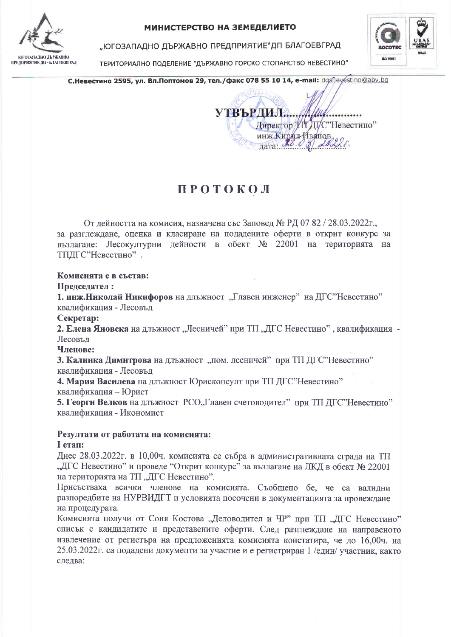

#### МИНИСТЕРСТВО НА ЗЕМЕДЕЛИЕТО

"ЮГОЗАПАДНО ДЪРЖАВНО ПРЕДПРИЯТИЕ"ДП БЛАГОЕВГРАД

ТЕРИТОРИАЛНО ПОДЕЛЕНИЕ "ДЪРЖАВНО ГОРСКО СТОПАНСТВО НЕВЕСТИНО"



С. Невестино 2595, ул. Вл. Поптомов 29, тел. / факс 078 55 10 14, e-mail: dgsfleyestino@abv.bg

Директор ТІТ ДІ/С"Невестино" инж.Кирил-Иванов.  $\frac{1}{2}$   $\frac{1}{2}$   $\frac{1}{2}$   $\frac{1}{2}$   $\frac{1}{2}$   $\frac{1}{2}$   $\frac{1}{2}$ 

# **ПРОТОКОЛ**

От дейността на комисия, назначена със Заповед № РД 07 82 / 28.03.2022г., за разглеждане, оценка и класиране на подадените оферти в открит конкурс за възлагане: Лесокултурни дейности в обект № 22001 на територията на ТПДГС"Невестино".

## Комисията е в състав:

#### Предселател:

1. инж. Николай Никифоров на длъжност "Главен инженер" на ДГС"Невестино" квалификация - Лесовъд

Секретар:

2. Елена Яновска на ллъжност "Лесничей" при ТП "ДГС Невестино", квалификация -Лесовъд

Членове:

3. Калинка Димитрова на длъжност "пом. лесничей" при ТП ДГС"Невестино" квалификация - Лесовъд

4. Мария Василева на длъжност Юрисконсулт при ТП ДГС"Невестино" квалификация - Юрист

5. Георги Велков на длъжност РСО"Главен счетоводител" при ТП ДГС"Невестино" квалификация - Икономист

## Резултати от работата на комисията: I етап:

Днес 28.03.2022г. в 10,00ч. комисията се събра в административната сграда на ТП "ДГС Невестино" и проведе "Открит конкурс" за възлагане на ЛКД в обект № 22001 на територията на ТП "ДГС Невестино".

Присъстваха всички членове на комисията. Съобщено бе, че са валидни разпоредбите на НУРВИДГТ и условията посочени в документацията за провеждане на процедурата.

Комисията получи от Соня Костова "Деловодител и ЧР" при ТП "ДГС Невестино" списък с кандидатите и представените оферти. След разглеждане на направеното извлечение от регистъра на предложенията комисията констатира, че до 16.00ч. на 25.03.2022г. са подадени документи за участие и е регистриран 1 /един/ участник, както следва: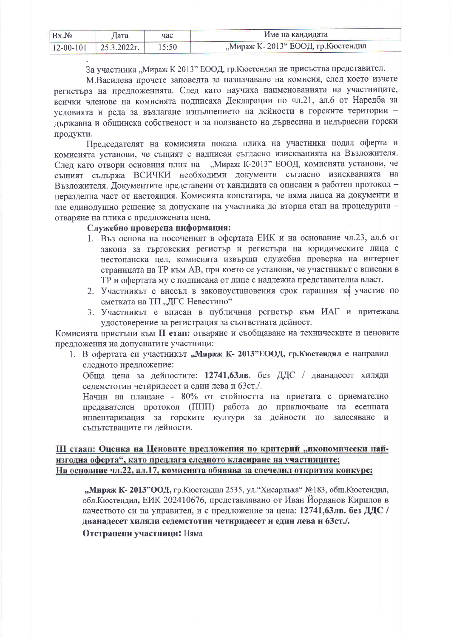| Bx.N2 | Дата                     | час   | Име на кандидата                   |
|-------|--------------------------|-------|------------------------------------|
|       | $12-00-101$ 25.3.2022 r. | 15:50 | "Мираж К-2013" ЕООД, гр. Кюстендил |

За участника "Мираж К 2013" ЕООД, гр. Кюстендил не присъства представител.

М.Василева прочете заповедта за назначаване на комисия, след което изчете регистъра на предложенията. След като научиха наименованията на участниците, всички членове на комисията подписаха Декларации по чл.21, ал.6 от Наредба за условията и реда за възлагане изпълнението на дейности в горските територии льржавна и общинска собственост и за ползването на дървесина и недървесни горски продукти.

Председателят на комисията показа плика на участника подал оферта и комисията установи, че същият е надписан съгласно изискванията на Възложителя. След като отвори основния плик на "Мираж К-2013" ЕООД, комисията установи, че същият съдържа ВСИЧКИ необходими документи съгласно изискванията на Възложителя. Документите представени от кандидата са описани в работен протокол неразделна част от настоящия. Комисията констатира, че няма липса на документи и взе единодушно решение за допускане на участника до втория етап на процедурата отваряне на плика с предложената цена.

## Служебно проверена информация:

- 1. Въз основа на посоченият в офертата ЕИК и на основание чл.23, ал.6 от закона за търговския регистър и регистъра на юридическите лица с нестопанска цел, комисията извърши служебна проверка на интернет страницата на ТР към АВ, при което се установи, че участникът е вписани в ТР и офертата му е подписана от лице с надлежна представителна власт.
- 2. Участникът е внесъл в законоустановения срок гаранция за участие по сметката на ТП "ДГС Невестино"
- 3. Участникът е вписан в публичния регистър към ИАГ и притежава удостоверение за регистрация за съответната дейност.

Комисията пристъпи към II етап: отваряне и съобщаване на техническите и ценовите предложения на допуснатите участници:

1. В офертата си участникът "Мираж К- 2013" ЕООД, гр. Кюстендил е направил следното предложение:

Обща цена за дейностите: 12741,63лв. без ДДС / дванадесет хиляди селемстотин четиридесет и един лева и 63ст./.

Начин на плащане - 80% от стойността на приетата с приемателно предавателен протокол (ППП) работа до приключване на есенната инвентаризация за горските култури за дейности по залесяване и съпътстващите ги дейности.

## III етаап: Оценка на Ценовите предложения по критерий "икономически найизгодна оферта", като предлага следното класиране на участниците: На основние чл.22, ал.17, комисията обявява за спечелил открития конкурс:

"Мираж К-2013"ООД, гр. Кюстендил 2535, ул. "Хисарлъка" №183, общ. Кюстендил, обл. Кюстендил, ЕИК 202410676, представлявано от Иван Йорданов Кирилов в качеството си на управител, и с предложение за цена: 12741,63лв. без ДДС / дванадесет хиляди седемстотин четиридесет и един лева и 63ст./.

Отстранени участници: Няма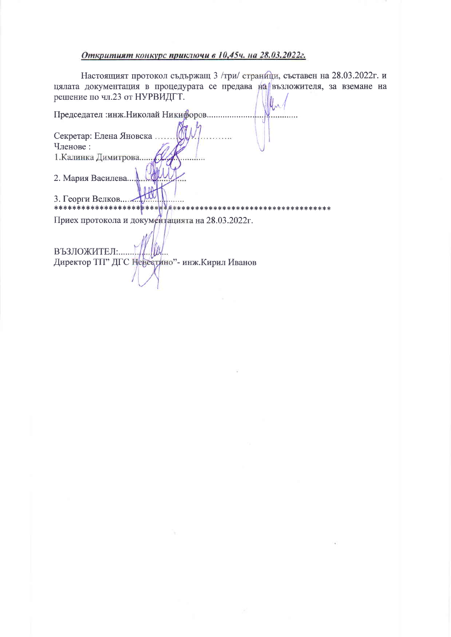#### Откритият конкурс приключи в 10,45ч. на 28.03.2022г.

Настоящият протокол съдържащ 3 /три/ страници, съставен на 28.03.2022г. и цялата документация в процедурата се предава на възложителя, за вземане на решение по чл.23 от НУРВИДГТ. U.

Председател :инж. Николай Никифоров ......... Секретар: Елена Яновска... Членове: 1. Калинка Димитрова... 2. Мария Василева... 3. Георги Велков....... \*\*\*\*\*\*\*\*\*\*\*\*\*\*\*\*\*\*<mark>\*</mark>\*\*\* \*\*\*\*\*\*\*\*\*\*\*\*\*\* \*\*\*\*\*\*\*\*\*\*\*\*\*\*\*\* Приех протокола и документацията на 28.03.2022г. ВЪЗЛОЖИТЕЛ:.....

Директор ТП" ДГС Невестино"- инж. Кирил Иванов